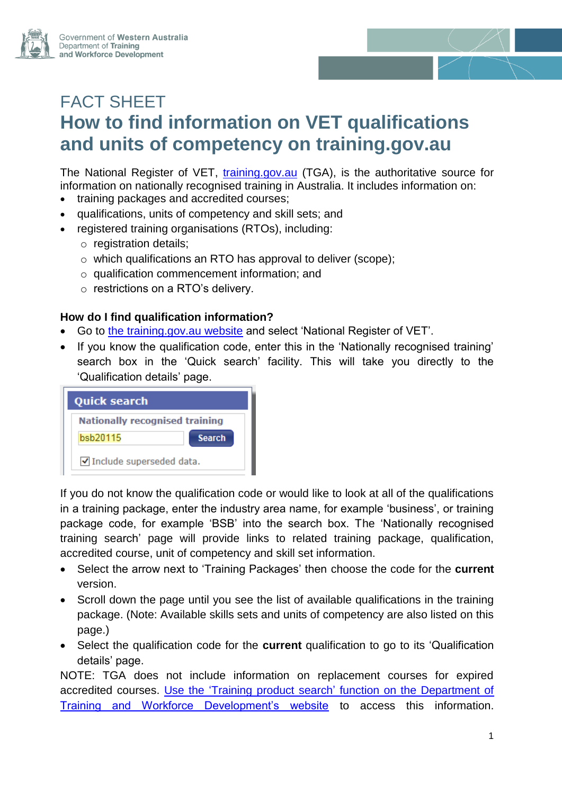

## FACT SHEET **How to find information on VET qualifications and units of competency on training.gov.au**

The National Register of VET, [training.gov.au](http://training.gov.au/) (TGA), is the authoritative source for information on nationally recognised training in Australia. It includes information on:

- training packages and accredited courses;
- qualifications, units of competency and skill sets; and
	- registered training organisations (RTOs), including:
		- o registration details;
		- o which qualifications an RTO has approval to deliver (scope);
		- o qualification commencement information; and
		- o restrictions on a RTO's delivery.

## **How do I find qualification information?**

- Go to the [training.gov.au](https://training.gov.au/) website and select 'National Register of VET'.
- If you know the qualification code, enter this in the 'Nationally recognised training' search box in the 'Quick search' facility. This will take you directly to the 'Qualification details' page.

| <b>Quick search</b>                      |               |  |
|------------------------------------------|---------------|--|
| <b>Nationally recognised training</b>    |               |  |
| bsb20115                                 | <b>Search</b> |  |
| $\triangledown$ Include superseded data. |               |  |

If you do not know the qualification code or would like to look at all of the qualifications in a training package, enter the industry area name, for example 'business', or training package code, for example 'BSB' into the search box. The 'Nationally recognised training search' page will provide links to related training package, qualification, accredited course, unit of competency and skill set information.

- Select the arrow next to 'Training Packages' then choose the code for the **current** version.
- Scroll down the page until you see the list of available qualifications in the training package. (Note: Available skills sets and units of competency are also listed on this page.)
- Select the qualification code for the **current** qualification to go to its 'Qualification details' page.

NOTE: TGA does not include information on replacement courses for expired accredited courses. [Use the 'Training product search'](http://www.dtwd.wa.gov.au/training-product-search) function on the Department of [Training and Workforce Development's website](http://www.dtwd.wa.gov.au/training-product-search) to access this information.